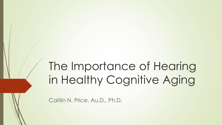# The Importance of Hearing in Healthy Cognitive Aging

Caitlin N. Price, Au.D., Ph.D.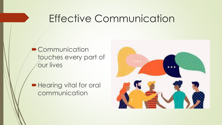## Effective Communication

**Communication** touches every part of our lives

**Hearing vital for oral** communication

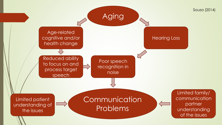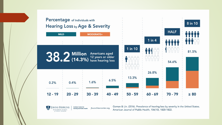

**BLOOMBERG SCHOOL** of PUBLIC HEALTH

American Journal of Public Health, 106(10), 1820-1822.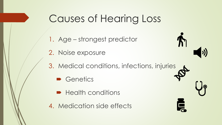## Causes of Hearing Loss

- 1. Age strongest predictor
- 2. Noise exposure
- 3. Medical conditions, infections, injuries
	- Genetics
	- **Health conditions**
- 4. Medication side effects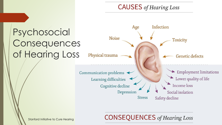#### **CAUSES** of Hearing Loss



**CONSEQUENCES** of Hearing Loss

Stanford Initiative to Cure Hearing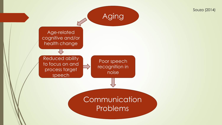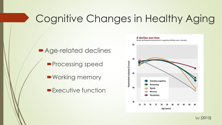## Cognitive Changes in Healthy Aging

■ Age-related declines

- **Processing speed**
- Working memory
- **Executive function**



Lu (2015)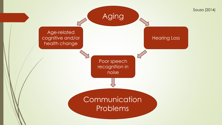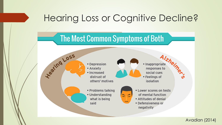### Hearing Loss or Cognitive Decline?



#### Avadian (2014)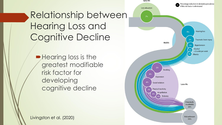## Relationship between Hearing Loss and Cognitive Decline

Hearing loss is the greatest modifiable risk factor for developing cognitive decline

Livingston et al. (2020)

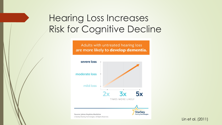### Hearing Loss Increases Risk for Cognitive Decline

Adults with untreated hearing loss are more likely to develop dementia.



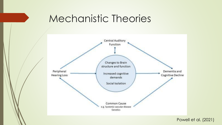## Mechanistic Theories

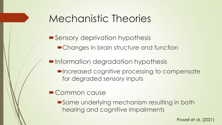## Mechanistic Theories

- Sensory deprivation hypothesis **• Changes in brain structure and function**
- **Information degradation hypothesis** 
	- **PIncreased cognitive processing to compensate** for degraded sensory inputs
- Common cause
	- Same underlying mechanism resulting in both hearing and cognitive impairments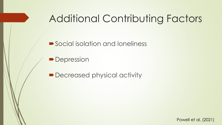## Additional Contributing Factors

■ Social isolation and loneliness

• Depression

■ Decreased physical activity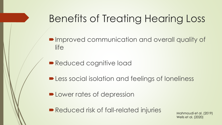## Benefits of Treating Hearing Loss

- **IMPROVED COMMUNICATION AND OVERALL QUALITY OF** life
- Reduced cognitive load
- **-Less social isolation and feelings of loneliness**
- **DELOWER rates of depression**
- Reduced risk of fall-related injuries Mahmoudi et al. (2019)

Wells et al. (2020)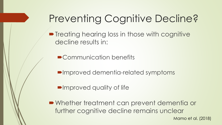## Preventing Cognitive Decline?

- **Treating hearing loss in those with cognitive** decline results in:
	- Communication benefits
	- Improved dementia-related symptoms
	- **Improved quality of life**
- Whether treatment can prevent dementia or further cognitive decline remains unclear

Mamo et al. (2018)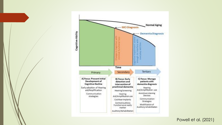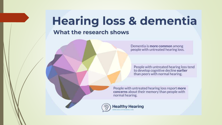# **Hearing loss & dementia**

#### What the research shows

Dementia is more common among people with untreated hearing loss.

People with untreated hearing loss tend to develop cognitive decline earlier than peers with normal hearing.

People with untreated hearing loss report more concerns about their memory than people with normal hearing.

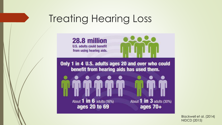## Treating Hearing Loss



Blackwell et al. (2014) NIDCD (2015)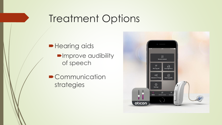## Treatment Options

**Hearing aids Improve audibility** of speech

**• Communication** strategies

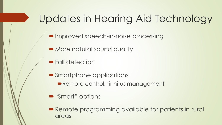## Updates in Hearing Aid Technology

- Improved speech-in-noise processing
- More natural sound quality
- **Fall detection**
- **Smartphone applications** 
	- Remote control, tinnitus management
- "Smart" options
- **Remote programming available for patients in rural** areas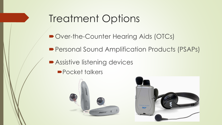## Treatment Options

- Over-the-Counter Hearing Aids (OTCs)
- Personal Sound Amplification Products (PSAPs)
- Assistive listening devices
	- **Pocket talkers**



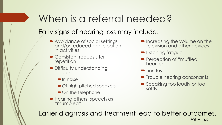## When is a referral needed? Early signs of hearing loss may include:

- Avoidance of social settings and/or reduced participation in activities
- **► Consistent requests for** repetition
- Difficulty understanding speech
	- $\blacksquare$ In noise
	- **► Of high-pitched speakers**
	- On the telephone
- Hearing others' speech as "mumbled"
- **Increasing the volume on the** television and other devices
- **Extening fatigue**
- Perception of "muffled" hearing
- $\blacksquare$  Tinnitus
- **Trouble hearing consonants**
- **Speaking too loudly or too** softly

ASHA (n.d.) Earlier diagnosis and treatment lead to better outcomes.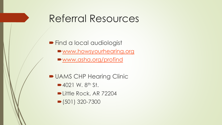## Referral Resources

**Find a local audiologist** 

- [www.howsyourhearing.org](http://www.howsyourhearing.org/)
- [www.asha.org/profind](http://www.asha.org/profind)
- **DUAMS CHP Hearing Clinic** 
	- $\blacktriangleright$  4021 W. 8<sup>th</sup> St.
	- Little Rock, AR 72204
	- $\bullet$  (501) 320-7300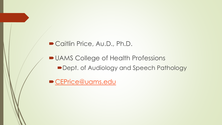#### ■ Caitlin Price, Au.D., Ph.D.

**DUAMS College of Health Professions** Dept. of Audiology and Speech Pathology

[CEPrice@uams.edu](mailto:CEPrice@uams.edu)